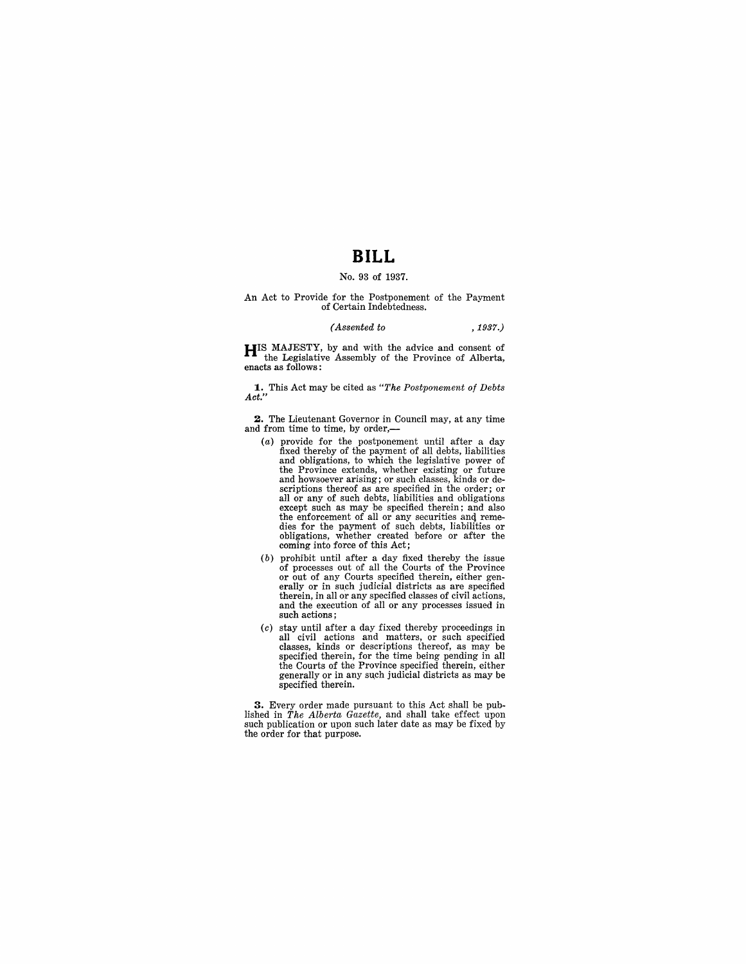### **BILL**

#### No. 93 of 1937.

# An Act to Provide for the Postponement of the Payment of Certain Indebtedness.

#### *(Assented to* ,1937.)

**HIS MAJESTY, by and with the advice and consent of** the Legislative Assembly of the Province of Alberta, enacts as follows:

**1.** This Act may be cited as *"The Postponement of Debts Act."* 

**2.** The Lieutenant Governor in Council may, at any time and from time to time, by order,-

- (a) provide for the postponement until after a day fixed thereby of the payment of all debts, liabilities and obligations, to which the legislative power of the Province extends, whether existing or future and howsoever arising; or such classes, kinds or descriptions thereof as are specified in the order; or all or any of such debts, liabilities and obligations except such as may be specified therein; and also the enforcement of all or any securities and remedies for the payment of such debts, liabilities or obligations, whether created before or after the coming into force of this Act;
- (b) prohibit until after a day fixed thereby the issue of processes out of all the Courts of the Province or out of any Courts specified therein, either generally or in such judicial districts as are specified therein, in all or any specified classes of civil actions, and the execution of all or any processes issued in such actions;
- (c) stay until after a day fixed thereby proceedings in all civil actions and matters, or such specified classes, kinds or descriptions thereof, as may be specified therein, for the time being pending in all the Courts of the Province specified therein, either generally or in any such judicial districts as may be specified therein.

**3.** Every order made pursuant to this Act shall be pub-lished in *The Alberta Gazette,* and shall take effect upon such publication or upon such later date as may be fixed by the order for that purpose.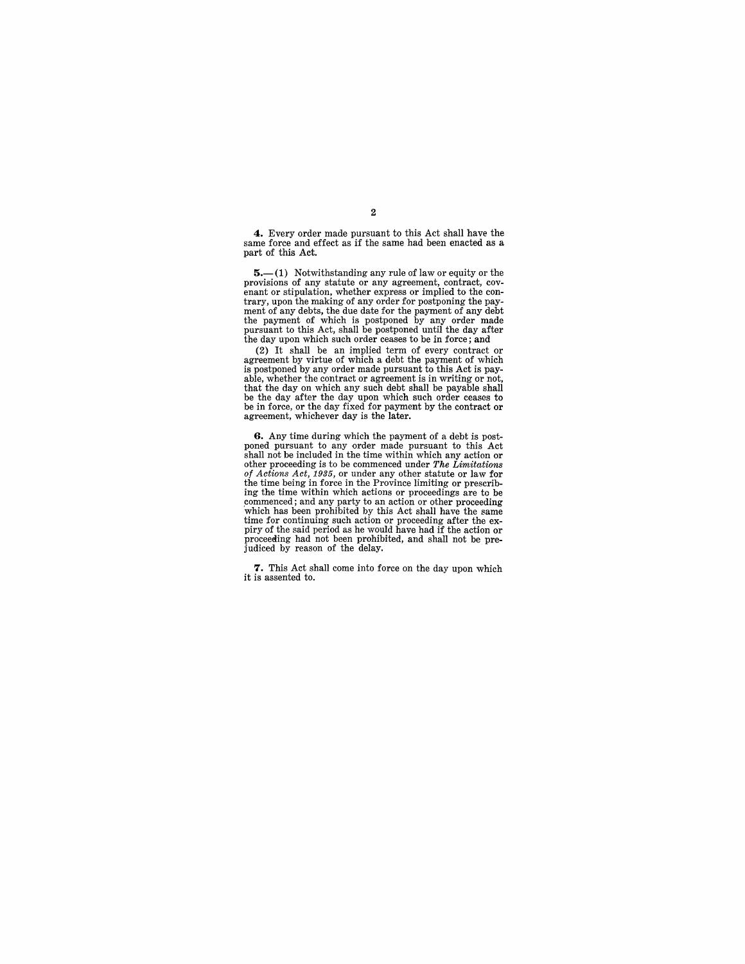**4.** Every order made pursuant to this Act shall have the same force and effect as if the same had been enacted as a part of this Act.

5.-(1) Notwithstanding any rule of law or equity or the provisions of any statute or any agreement, contract, covprovisions of any statute or any agreement, contract, covenant or stipulation, whether express or implied to the contrary, upon the making of any order for postponing the payment of any debts, the due date for the payment

(2) It shall be an implied term of every contract or agreement by virtue of which a debt the payment of which is postponed by any order made pursuant to this Act is payable, whether the contract or agreement is in writing or not, that the day on which any such debt shall be payable shall be the day after the day upon which such order ceases to be in force, or the day fixed for payment by the contract or agreement, whichever day is the later.

**G.** Any time during which the payment of a debt is postponed pursuant to any order made pursuant to this Act shall not be included in the time within which any action or shall not be included in the time within which any action or other proceeding is to be commenced under *The Limitations of Actions Act,* 1935, or under any other statute or law for the time being in force in the Province limiting or prescribing the time within which actions or proceedings are to be commenced; and any party to an action or other proceeding which has been prohibited by this Act shall have the same time for continuing such action or proceeding after the ex-<br>piry of the said period as he would have had if the action or<br>proceeding had not been prohibited, and shall not be prejudiced by reason of the delay.

**7.** This Act shall come into force on the day upon which it is assented to.

#### 2